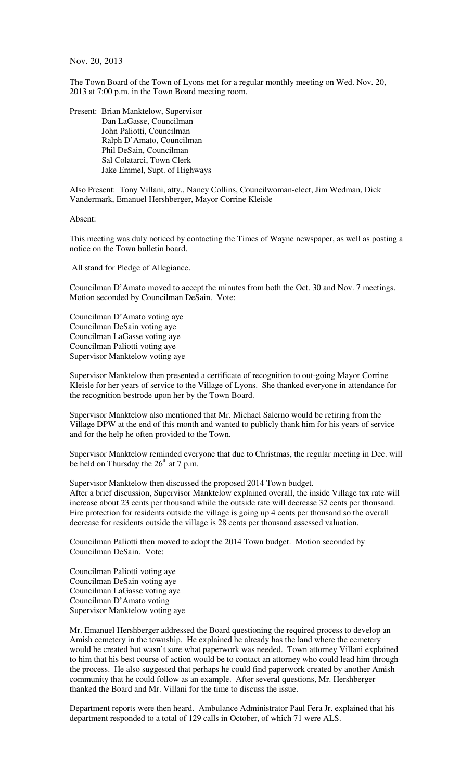Nov. 20, 2013

The Town Board of the Town of Lyons met for a regular monthly meeting on Wed. Nov. 20, 2013 at 7:00 p.m. in the Town Board meeting room.

Present: Brian Manktelow, Supervisor Dan LaGasse, Councilman John Paliotti, Councilman Ralph D'Amato, Councilman Phil DeSain, Councilman Sal Colatarci, Town Clerk Jake Emmel, Supt. of Highways

Also Present: Tony Villani, atty., Nancy Collins, Councilwoman-elect, Jim Wedman, Dick Vandermark, Emanuel Hershberger, Mayor Corrine Kleisle

Absent:

This meeting was duly noticed by contacting the Times of Wayne newspaper, as well as posting a notice on the Town bulletin board.

All stand for Pledge of Allegiance.

Councilman D'Amato moved to accept the minutes from both the Oct. 30 and Nov. 7 meetings. Motion seconded by Councilman DeSain. Vote:

Councilman D'Amato voting aye Councilman DeSain voting aye Councilman LaGasse voting aye Councilman Paliotti voting aye Supervisor Manktelow voting aye

Supervisor Manktelow then presented a certificate of recognition to out-going Mayor Corrine Kleisle for her years of service to the Village of Lyons. She thanked everyone in attendance for the recognition bestrode upon her by the Town Board.

Supervisor Manktelow also mentioned that Mr. Michael Salerno would be retiring from the Village DPW at the end of this month and wanted to publicly thank him for his years of service and for the help he often provided to the Town.

Supervisor Manktelow reminded everyone that due to Christmas, the regular meeting in Dec. will be held on Thursday the  $26<sup>th</sup>$  at 7 p.m.

Supervisor Manktelow then discussed the proposed 2014 Town budget. After a brief discussion, Supervisor Manktelow explained overall, the inside Village tax rate will increase about 23 cents per thousand while the outside rate will decrease 32 cents per thousand. Fire protection for residents outside the village is going up 4 cents per thousand so the overall decrease for residents outside the village is 28 cents per thousand assessed valuation.

Councilman Paliotti then moved to adopt the 2014 Town budget. Motion seconded by Councilman DeSain. Vote:

Councilman Paliotti voting aye Councilman DeSain voting aye Councilman LaGasse voting aye Councilman D'Amato voting Supervisor Manktelow voting aye

Mr. Emanuel Hershberger addressed the Board questioning the required process to develop an Amish cemetery in the township. He explained he already has the land where the cemetery would be created but wasn't sure what paperwork was needed. Town attorney Villani explained to him that his best course of action would be to contact an attorney who could lead him through the process. He also suggested that perhaps he could find paperwork created by another Amish community that he could follow as an example. After several questions, Mr. Hershberger thanked the Board and Mr. Villani for the time to discuss the issue.

Department reports were then heard. Ambulance Administrator Paul Fera Jr. explained that his department responded to a total of 129 calls in October, of which 71 were ALS.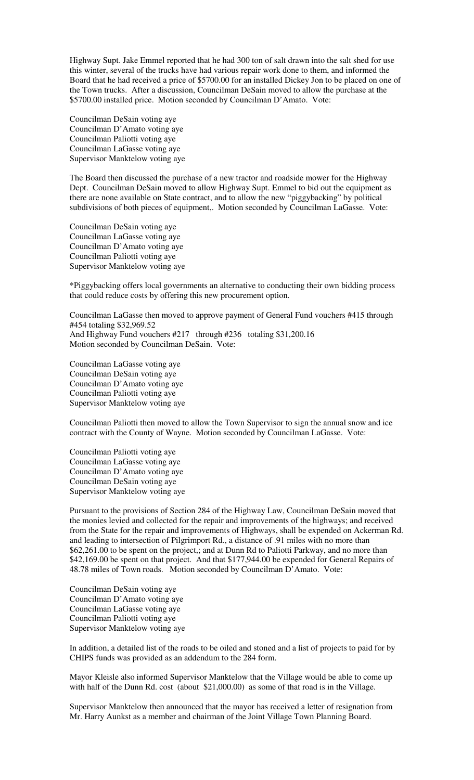Highway Supt. Jake Emmel reported that he had 300 ton of salt drawn into the salt shed for use this winter, several of the trucks have had various repair work done to them, and informed the Board that he had received a price of \$5700.00 for an installed Dickey Jon to be placed on one of the Town trucks. After a discussion, Councilman DeSain moved to allow the purchase at the \$5700.00 installed price. Motion seconded by Councilman D'Amato. Vote:

Councilman DeSain voting aye Councilman D'Amato voting aye Councilman Paliotti voting aye Councilman LaGasse voting aye Supervisor Manktelow voting aye

The Board then discussed the purchase of a new tractor and roadside mower for the Highway Dept. Councilman DeSain moved to allow Highway Supt. Emmel to bid out the equipment as there are none available on State contract, and to allow the new "piggybacking" by political subdivisions of both pieces of equipment,. Motion seconded by Councilman LaGasse. Vote:

Councilman DeSain voting aye Councilman LaGasse voting aye Councilman D'Amato voting aye Councilman Paliotti voting aye Supervisor Manktelow voting aye

\*Piggybacking offers local governments an alternative to conducting their own bidding process that could reduce costs by offering this new procurement option.

Councilman LaGasse then moved to approve payment of General Fund vouchers #415 through #454 totaling \$32,969.52 And Highway Fund vouchers #217 through #236 totaling \$31,200.16 Motion seconded by Councilman DeSain. Vote:

Councilman LaGasse voting aye Councilman DeSain voting aye Councilman D'Amato voting aye Councilman Paliotti voting aye Supervisor Manktelow voting aye

Councilman Paliotti then moved to allow the Town Supervisor to sign the annual snow and ice contract with the County of Wayne. Motion seconded by Councilman LaGasse. Vote:

Councilman Paliotti voting aye Councilman LaGasse voting aye Councilman D'Amato voting aye Councilman DeSain voting aye Supervisor Manktelow voting aye

Pursuant to the provisions of Section 284 of the Highway Law, Councilman DeSain moved that the monies levied and collected for the repair and improvements of the highways; and received from the State for the repair and improvements of Highways, shall be expended on Ackerman Rd. and leading to intersection of Pilgrimport Rd., a distance of .91 miles with no more than \$62,261.00 to be spent on the project,; and at Dunn Rd to Paliotti Parkway, and no more than \$42,169.00 be spent on that project. And that \$177,944.00 be expended for General Repairs of 48.78 miles of Town roads. Motion seconded by Councilman D'Amato. Vote:

Councilman DeSain voting aye Councilman D'Amato voting aye Councilman LaGasse voting aye Councilman Paliotti voting aye Supervisor Manktelow voting aye

In addition, a detailed list of the roads to be oiled and stoned and a list of projects to paid for by CHIPS funds was provided as an addendum to the 284 form.

Mayor Kleisle also informed Supervisor Manktelow that the Village would be able to come up with half of the Dunn Rd. cost (about \$21,000.00) as some of that road is in the Village.

Supervisor Manktelow then announced that the mayor has received a letter of resignation from Mr. Harry Aunkst as a member and chairman of the Joint Village Town Planning Board.